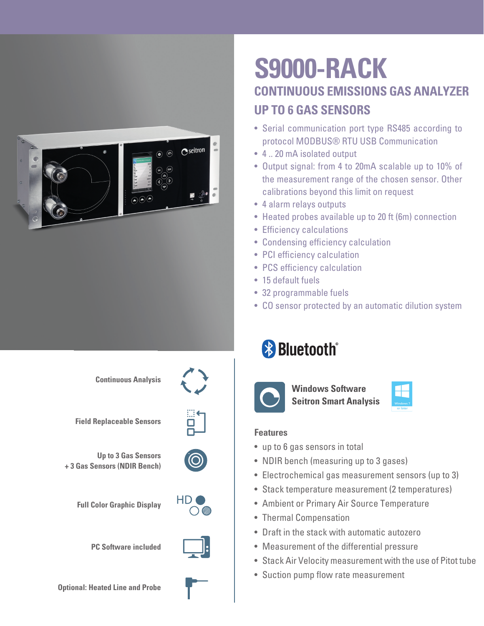

## **S9000-RACK CONTINUOUS EMISSIONS GAS ANALYZER UP TO 6 GAS SENSORS**

- Serial communication port type RS485 according to protocol MODBUS® RTU USB Communication
- 4 .. 20 mA isolated output
- Output signal: from 4 to 20mA scalable up to 10% of the measurement range of the chosen sensor. Other calibrations beyond this limit on request
- 4 alarm relays outputs
- Heated probes available up to 20 ft (6m) connection
- Efficiency calculations
- Condensing efficiency calculation
- PCI efficiency calculation
- PCS efficiency calculation
- 15 default fuels
- 32 programmable fuels
- CO sensor protected by an automatic dilution system

# **& Bluetooth**®



**Windows Software Seitron Smart Analysis**

#### **Features**

- up to 6 gas sensors in total
- NDIR bench (measuring up to 3 gases)
- Electrochemical gas measurement sensors (up to 3)
- Stack temperature measurement (2 temperatures)
- Ambient or Primary Air Source Temperature
- Thermal Compensation
- Draft in the stack with automatic autozero
- Measurement of the differential pressure
- Stack Air Velocity measurement with the use of Pitot tube
- Suction pump flow rate measurement

**Continuous Analysis**



**Field Replaceable Sensors**





**Full Color Graphic Display**



**PC Software included**



**Optional: Heated Line and Probe**

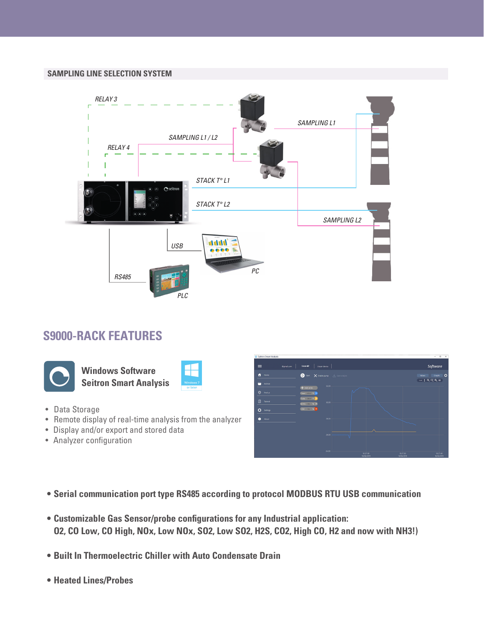#### **SAMPLING LINE SELECTION SYSTEM**



### **S9000-RACK FEATURES**



**Windows Software Seitron Smart Analysis**



- Data Storage
- Remote display of real-time analysis from the analyzer
- Display and/or export and stored data
- Analyzer configuration



- **• Serial communication port type RS485 according to protocol MODBUS RTU USB communication**
- **• Customizable Gas Sensor/probe configurations for any Industrial application: O2, CO Low, CO High, NOx, Low NOx, SO2, Low SO2, H2S, CO2, High CO, H2 and now with NH3!)**
- **• Built In Thermoelectric Chiller with Auto Condensate Drain**
- **• Heated Lines/Probes**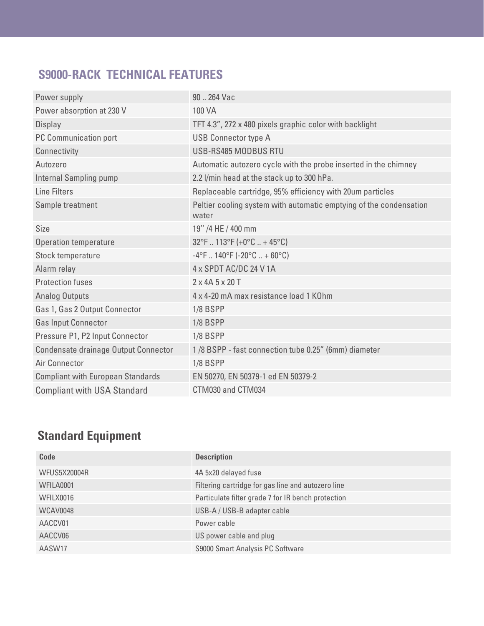### **S9000-RACK TECHNICAL FEATURES**

| Power supply                             | 90  264 Vac                                                                 |
|------------------------------------------|-----------------------------------------------------------------------------|
| Power absorption at 230 V                | 100 VA                                                                      |
| Display                                  | TFT 4.3", 272 x 480 pixels graphic color with backlight                     |
| PC Communication port                    | <b>USB Connector type A</b>                                                 |
| Connectivity                             | USB-RS485 MODBUS RTU                                                        |
| Autozero                                 | Automatic autozero cycle with the probe inserted in the chimney             |
| Internal Sampling pump                   | 2.2 l/min head at the stack up to 300 hPa.                                  |
| <b>Line Filters</b>                      | Replaceable cartridge, 95% efficiency with 20um particles                   |
| Sample treatment                         | Peltier cooling system with automatic emptying of the condensation<br>water |
| <b>Size</b>                              | 19" /4 HE / 400 mm                                                          |
| <b>Operation temperature</b>             | $32^{\circ}$ F  113°F (+0°C  + 45°C)                                        |
| Stock temperature                        | $-4$ °F  140°F (-20°C  + 60°C)                                              |
| Alarm relay                              | 4 x SPDT AC/DC 24 V 1A                                                      |
| <b>Protection fuses</b>                  | 2 x 4A 5 x 20 T                                                             |
| <b>Analog Outputs</b>                    | 4 x 4-20 mA max resistance load 1 KOhm                                      |
| Gas 1, Gas 2 Output Connector            | <b>1/8 BSPP</b>                                                             |
| <b>Gas Input Connector</b>               | <b>1/8 BSPP</b>                                                             |
| Pressure P1, P2 Input Connector          | <b>1/8 BSPP</b>                                                             |
| Condensate drainage Output Connector     | 1/8 BSPP - fast connection tube 0.25" (6mm) diameter                        |
| Air Connector                            | <b>1/8 BSPP</b>                                                             |
| <b>Compliant with European Standards</b> | EN 50270, EN 50379-1 ed EN 50379-2                                          |
| <b>Compliant with USA Standard</b>       | CTM030 and CTM034                                                           |

## **Standard Equipment**

| Code                | <b>Description</b>                                 |
|---------------------|----------------------------------------------------|
| <b>WFUS5X20004R</b> | 4A 5x20 delayed fuse                               |
| WFILA0001           | Filtering cartridge for gas line and autozero line |
| WFILX0016           | Particulate filter grade 7 for IR bench protection |
| WCAV0048            | USB-A / USB-B adapter cable                        |
| AACCV01             | Power cable                                        |
| AACCV06             | US power cable and plug                            |
| AASW17              | S9000 Smart Analysis PC Software                   |